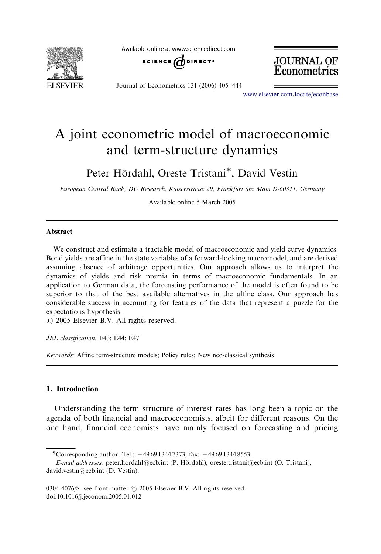

Available online at www.sciencedirect.com



**JOURNAL OF**<br>Econometrics

Journal of Econometrics 131 (2006) 405–444

<www.elsevier.com/locate/econbase>

## A joint econometric model of macroeconomic and term-structure dynamics

Peter Hördahl, Oreste Tristani\*, David Vestin

European Central Bank, DG Research, Kaiserstrasse 29, Frankfurt am Main D-60311, Germany

Available online 5 March 2005

## Abstract

We construct and estimate a tractable model of macroeconomic and yield curve dynamics. Bond yields are affine in the state variables of a forward-looking macromodel, and are derived assuming absence of arbitrage opportunities. Our approach allows us to interpret the dynamics of yields and risk premia in terms of macroeconomic fundamentals. In an application to German data, the forecasting performance of the model is often found to be superior to that of the best available alternatives in the affine class. Our approach has considerable success in accounting for features of the data that represent a puzzle for the expectations hypothesis.

 $\odot$  2005 Elsevier B.V. All rights reserved.

JEL classification: E43; E44; E47

Keywords: Affine term-structure models; Policy rules; New neo-classical synthesis

## 1. Introduction

Understanding the term structure of interest rates has long been a topic on the agenda of both financial and macroeconomists, albeit for different reasons. On the one hand, financial economists have mainly focused on forecasting and pricing

<sup>\*</sup>Corresponding author. Tel.:  $+496913447373$ ; fax:  $+496913448553$ .

E-mail addresses: peter.hordahl@ecb.int (P. Hördahl), oreste.tristani@ecb.int (O. Tristani), david.vestin@ecb.int (D. Vestin).

<sup>0304-4076/</sup> $\$  - see front matter  $\odot$  2005 Elsevier B.V. All rights reserved. doi:10.1016/j.jeconom.2005.01.012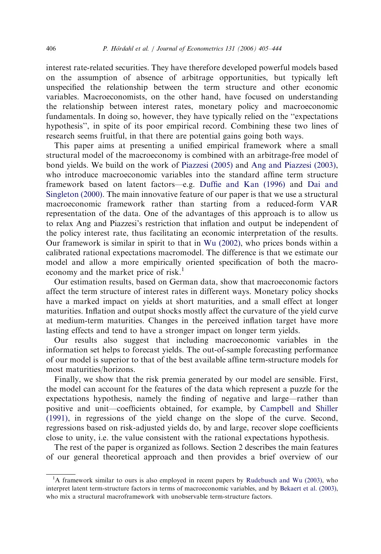interest rate-related securities. They have therefore developed powerful models based on the assumption of absence of arbitrage opportunities, but typically left unspecified the relationship between the term structure and other economic variables. Macroeconomists, on the other hand, have focused on understanding the relationship between interest rates, monetary policy and macroeconomic fundamentals. In doing so, however, they have typically relied on the ''expectations hypothesis'', in spite of its poor empirical record. Combining these two lines of research seems fruitful, in that there are potential gains going both ways.

This paper aims at presenting a unified empirical framework where a small structural model of the macroeconomy is combined with an arbitrage-free model of bond yields. We build on the work of [Piazzesi \(2005\)](#page--1-0) and [Ang and Piazzesi \(2003\),](#page--1-0) who introduce macroeconomic variables into the standard affine term structure framework based on latent factors—e.g. [Duffie and Kan \(1996\)](#page--1-0) and [Dai and](#page--1-0) [Singleton \(2000\).](#page--1-0) The main innovative feature of our paper is that we use a structural macroeconomic framework rather than starting from a reduced-form VAR representation of the data. One of the advantages of this approach is to allow us to relax Ang and Piazzesi's restriction that inflation and output be independent of the policy interest rate, thus facilitating an economic interpretation of the results. Our framework is similar in spirit to that in [Wu \(2002\)](#page--1-0), who prices bonds within a calibrated rational expectations macromodel. The difference is that we estimate our model and allow a more empirically oriented specification of both the macroeconomy and the market price of risk.<sup>1</sup>

Our estimation results, based on German data, show that macroeconomic factors affect the term structure of interest rates in different ways. Monetary policy shocks have a marked impact on yields at short maturities, and a small effect at longer maturities. Inflation and output shocks mostly affect the curvature of the yield curve at medium-term maturities. Changes in the perceived inflation target have more lasting effects and tend to have a stronger impact on longer term yields.

Our results also suggest that including macroeconomic variables in the information set helps to forecast yields. The out-of-sample forecasting performance of our model is superior to that of the best available affine term-structure models for most maturities/horizons.

Finally, we show that the risk premia generated by our model are sensible. First, the model can account for the features of the data which represent a puzzle for the expectations hypothesis, namely the finding of negative and large—rather than positive and unit—coefficients obtained, for example, by [Campbell and Shiller](#page--1-0) [\(1991\)](#page--1-0), in regressions of the yield change on the slope of the curve. Second, regressions based on risk-adjusted yields do, by and large, recover slope coefficients close to unity, i.e. the value consistent with the rational expectations hypothesis.

The rest of the paper is organized as follows. Section 2 describes the main features of our general theoretical approach and then provides a brief overview of our

<sup>&</sup>lt;sup>1</sup>A framework similar to ours is also employed in recent papers by [Rudebusch and Wu \(2003\),](#page--1-0) who interpret latent term-structure factors in terms of macroeconomic variables, and by [Bekaert et al. \(2003\)](#page--1-0), who mix a structural macroframework with unobservable term-structure factors.